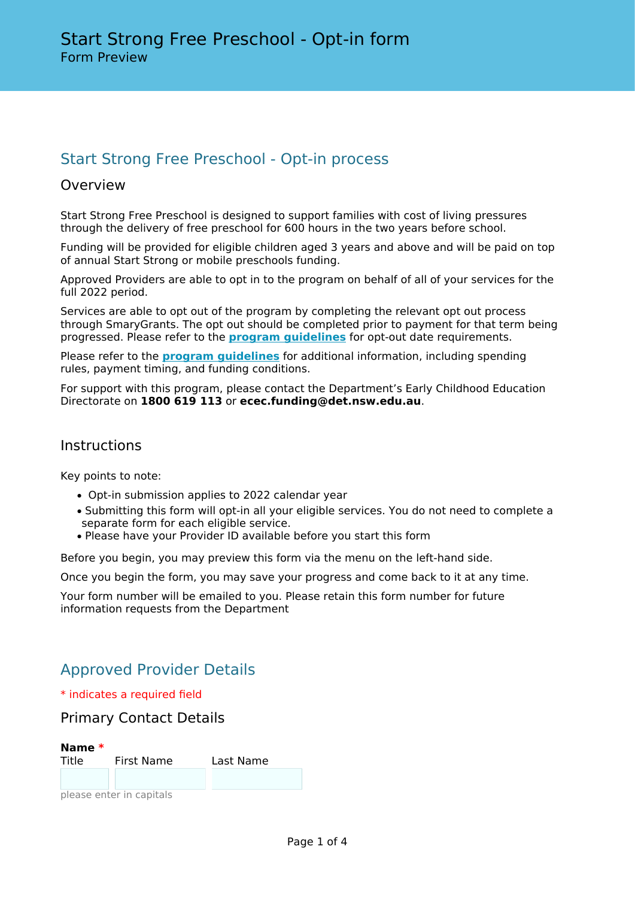# Start Strong Free Preschool - Opt-in process

## Overview

Start Strong Free Preschool is designed to support families with cost of living pressures through the delivery of free preschool for 600 hours in the two years before school.

Funding will be provided for eligible children aged 3 years and above and will be paid on top of annual Start Strong or mobile preschools funding.

Approved Providers are able to opt in to the program on behalf of all of your services for the full 2022 period.

Services are able to opt out of the program by completing the relevant opt out process through SmaryGrants. The opt out should be completed prior to payment for that term being progressed. Please refer to the **[program guidelines](https://education.nsw.gov.au/early-childhood-education/operating-an-early-childhood-education-service/grants-and-funded-programs/start-strong-free-preschool)** for opt-out date requirements.

Please refer to the **[program guidelines](https://education.nsw.gov.au/early-childhood-education/operating-an-early-childhood-education-service/grants-and-funded-programs/start-strong-free-preschool)** for additional information, including spending rules, payment timing, and funding conditions.

For support with this program, please contact the Department's Early Childhood Education Directorate on **1800 619 113** or **ecec.funding@det.nsw.edu.au**.

## **Instructions**

Key points to note:

- Opt-in submission applies to 2022 calendar year
- Submitting this form will opt-in all your eligible services. You do not need to complete a separate form for each eligible service.
- Please have your Provider ID available before you start this form

Before you begin, you may preview this form via the menu on the left-hand side.

Once you begin the form, you may save your progress and come back to it at any time.

Your form number will be emailed to you. Please retain this form number for future information requests from the Department

## Approved Provider Details

\* indicates a required field

Primary Contact Details



please enter in capitals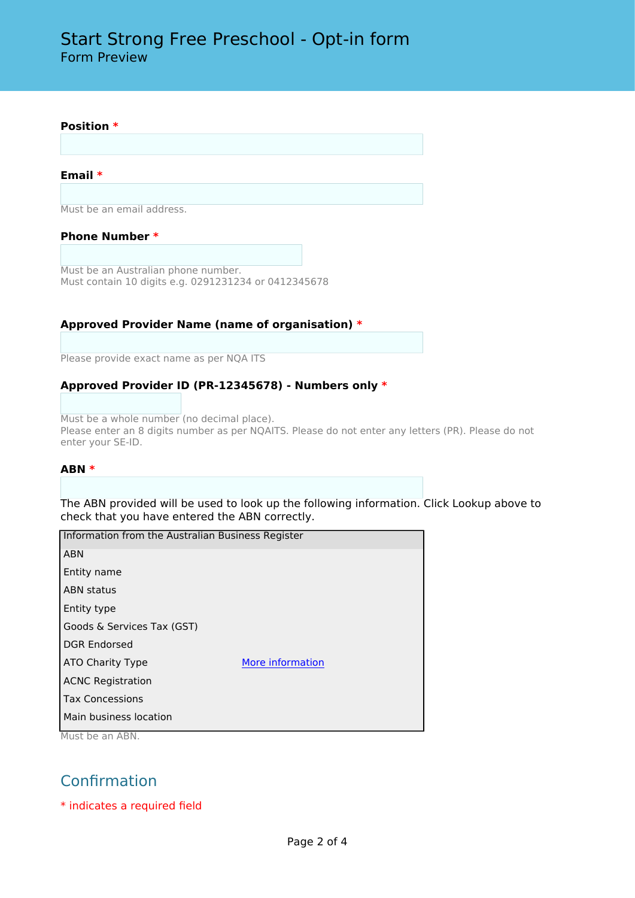# Start Strong Free Preschool - Opt-in form Form Preview

#### **Position \***

#### **Email \***

Must be an email address.

#### **Phone Number \***

Must be an Australian phone number. Must contain 10 digits e.g. 0291231234 or 0412345678

#### **Approved Provider Name (name of organisation) \***

Please provide exact name as per NQA ITS

#### **Approved Provider ID (PR-12345678) - Numbers only \***

Must be a whole number (no decimal place). Please enter an 8 digits number as per NQAITS. Please do not enter any letters (PR). Please do not enter your SE-ID.

#### **ABN \***

The ABN provided will be used to look up the following information. Click Lookup above to check that you have entered the ABN correctly.

| Information from the Australian Business Register |                  |
|---------------------------------------------------|------------------|
| <b>ABN</b>                                        |                  |
| Entity name                                       |                  |
| <b>ABN</b> status                                 |                  |
| Entity type                                       |                  |
| Goods & Services Tax (GST)                        |                  |
| <b>DGR Endorsed</b>                               |                  |
| ATO Charity Type                                  | More information |
| <b>ACNC Registration</b>                          |                  |
| <b>Tax Concessions</b>                            |                  |
| Main business location                            |                  |
| Must be an ABN.                                   |                  |

# Confirmation

\* indicates a required field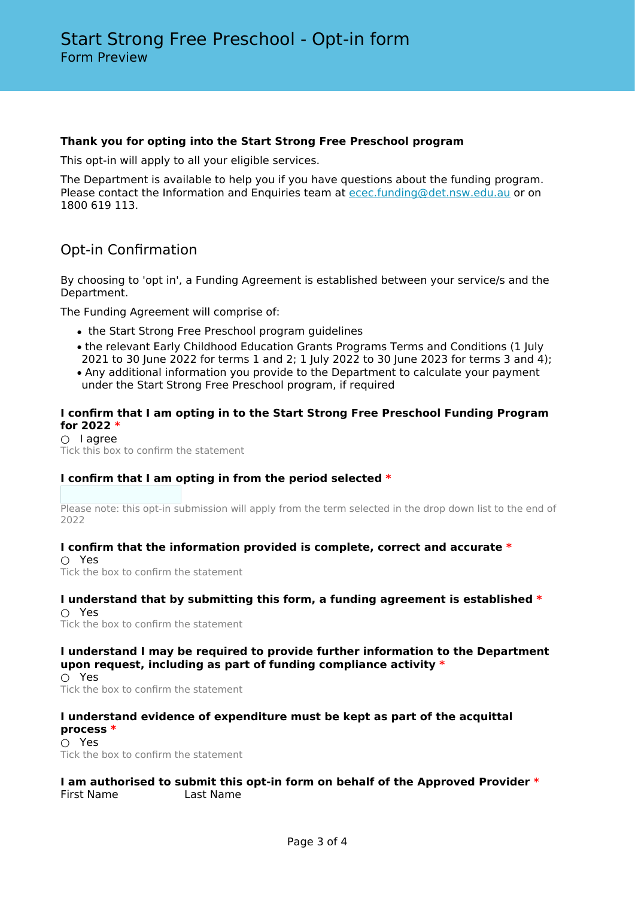### **Thank you for opting into the Start Strong Free Preschool program**

This opt-in will apply to all your eligible services.

The Department is available to help you if you have questions about the funding program. Please contact the Information and Enquiries team at [ecec.funding@det.nsw.edu.au](mailto:ecec.funding@det.nsw.edu.au) or on 1800 619 113.

## Opt-in Confirmation

By choosing to 'opt in', a Funding Agreement is established between your service/s and the Department.

The Funding Agreement will comprise of:

- the Start Strong Free Preschool program guidelines
- the relevant Early Childhood Education Grants Programs Terms and Conditions (1 July
- 2021 to 30 June 2022 for terms 1 and 2; 1 July 2022 to 30 June 2023 for terms 3 and 4); • Any additional information you provide to the Department to calculate your payment under the Start Strong Free Preschool program, if required

### **I confirm that I am opting in to the Start Strong Free Preschool Funding Program for 2022 \***

○ I agree Tick this box to confirm the statement

## **I confirm that I am opting in from the period selected \***

Please note: this opt-in submission will apply from the term selected in the drop down list to the end of 2022

#### **I confirm that the information provided is complete, correct and accurate \***

○ Yes Tick the box to confirm the statement

#### **I understand that by submitting this form, a funding agreement is established \*** ○ Yes

Tick the box to confirm the statement

## **I understand I may be required to provide further information to the Department upon request, including as part of funding compliance activity \***

○ Yes Tick the box to confirm the statement

### **I understand evidence of expenditure must be kept as part of the acquittal process \***

○ Yes Tick the box to confirm the statement

### **I am authorised to submit this opt-in form on behalf of the Approved Provider \*** First Name Last Name